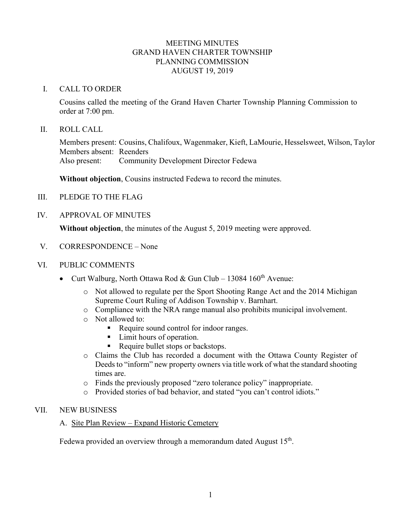# MEETING MINUTES GRAND HAVEN CHARTER TOWNSHIP PLANNING COMMISSION AUGUST 19, 2019

#### I. CALL TO ORDER

Cousins called the meeting of the Grand Haven Charter Township Planning Commission to order at 7:00 pm.

#### II. ROLL CALL

Members present: Cousins, Chalifoux, Wagenmaker, Kieft, LaMourie, Hesselsweet, Wilson, Taylor Members absent: Reenders Also present: Community Development Director Fedewa

**Without objection**, Cousins instructed Fedewa to record the minutes.

- III. PLEDGE TO THE FLAG
- IV. APPROVAL OF MINUTES

**Without objection**, the minutes of the August 5, 2019 meeting were approved.

V. CORRESPONDENCE – None

### VI. PUBLIC COMMENTS

- Curt Walburg, North Ottawa Rod & Gun Club 13084 160<sup>th</sup> Avenue:
	- o Not allowed to regulate per the Sport Shooting Range Act and the 2014 Michigan Supreme Court Ruling of Addison Township v. Barnhart.
	- o Compliance with the NRA range manual also prohibits municipal involvement.
	- o Not allowed to:
		- Require sound control for indoor ranges.
		- Limit hours of operation.
		- Require bullet stops or backstops.
	- o Claims the Club has recorded a document with the Ottawa County Register of Deeds to "inform" new property owners via title work of what the standard shooting times are.
	- o Finds the previously proposed "zero tolerance policy" inappropriate.
	- o Provided stories of bad behavior, and stated "you can't control idiots."

### VII. NEW BUSINESS

### A. Site Plan Review – Expand Historic Cemetery

Fedewa provided an overview through a memorandum dated August  $15<sup>th</sup>$ .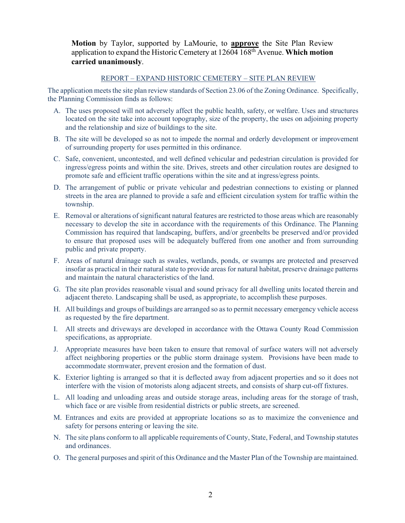**Motion** by Taylor, supported by LaMourie, to **approve** the Site Plan Review application to expand the Historic Cemetery at 12604 168th Avenue. **Which motion carried unanimously**.

#### REPORT – EXPAND HISTORIC CEMETERY – SITE PLAN REVIEW

The application meets the site plan review standards of Section 23.06 of the Zoning Ordinance. Specifically, the Planning Commission finds as follows:

- A. The uses proposed will not adversely affect the public health, safety, or welfare. Uses and structures located on the site take into account topography, size of the property, the uses on adjoining property and the relationship and size of buildings to the site.
- B. The site will be developed so as not to impede the normal and orderly development or improvement of surrounding property for uses permitted in this ordinance.
- C. Safe, convenient, uncontested, and well defined vehicular and pedestrian circulation is provided for ingress/egress points and within the site. Drives, streets and other circulation routes are designed to promote safe and efficient traffic operations within the site and at ingress/egress points.
- D. The arrangement of public or private vehicular and pedestrian connections to existing or planned streets in the area are planned to provide a safe and efficient circulation system for traffic within the township.
- E. Removal or alterations of significant natural features are restricted to those areas which are reasonably necessary to develop the site in accordance with the requirements of this Ordinance. The Planning Commission has required that landscaping, buffers, and/or greenbelts be preserved and/or provided to ensure that proposed uses will be adequately buffered from one another and from surrounding public and private property.
- F. Areas of natural drainage such as swales, wetlands, ponds, or swamps are protected and preserved insofar as practical in their natural state to provide areas for natural habitat, preserve drainage patterns and maintain the natural characteristics of the land.
- G. The site plan provides reasonable visual and sound privacy for all dwelling units located therein and adjacent thereto. Landscaping shall be used, as appropriate, to accomplish these purposes.
- H. All buildings and groups of buildings are arranged so as to permit necessary emergency vehicle access as requested by the fire department.
- I. All streets and driveways are developed in accordance with the Ottawa County Road Commission specifications, as appropriate.
- J. Appropriate measures have been taken to ensure that removal of surface waters will not adversely affect neighboring properties or the public storm drainage system. Provisions have been made to accommodate stormwater, prevent erosion and the formation of dust.
- K. Exterior lighting is arranged so that it is deflected away from adjacent properties and so it does not interfere with the vision of motorists along adjacent streets, and consists of sharp cut-off fixtures.
- L. All loading and unloading areas and outside storage areas, including areas for the storage of trash, which face or are visible from residential districts or public streets, are screened.
- M. Entrances and exits are provided at appropriate locations so as to maximize the convenience and safety for persons entering or leaving the site.
- N. The site plans conform to all applicable requirements of County, State, Federal, and Township statutes and ordinances.
- O. The general purposes and spirit of this Ordinance and the Master Plan of the Township are maintained.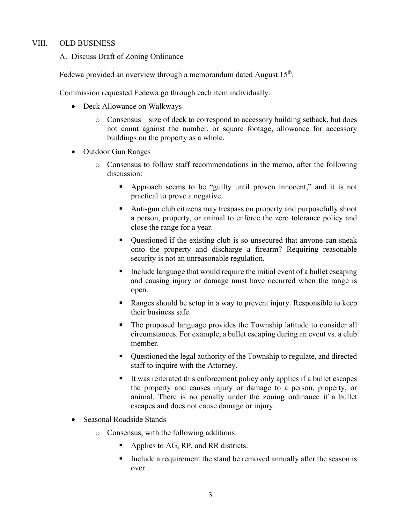# VIII. OLD BUSINESS

### A. Discuss Draft of Zoning Ordinance

Fedewa provided an overview through a memorandum dated August  $15<sup>th</sup>$ .

Commission requested Fedewa go through each item individually.

- Deck Allowance on Walkways
	- o Consensus size of deck to correspond to accessory building setback, but does not count against the number, or square footage, allowance for accessory buildings on the property as a whole.
- Outdoor Gun Ranges
	- o Consensus to follow staff recommendations in the memo, after the following discussion:
		- Approach seems to be "guilty until proven innocent," and it is not practical to prove a negative.
		- Anti-gun club citizens may trespass on property and purposefully shoot a person, property, or animal to enforce the zero tolerance policy and close the range for a year.
		- Ouestioned if the existing club is so unsecured that anyone can sneak onto the property and discharge a firearm? Requiring reasonable security is not an unreasonable regulation.
		- Include language that would require the initial event of a bullet escaping and causing injury or damage must have occurred when the range is open.
		- Ranges should be setup in a way to prevent injury. Responsible to keep their business safe.
		- The proposed language provides the Township latitude to consider all circumstances. For example, a bullet escaping during an event vs. a club member.
		- Questioned the legal authority of the Township to regulate, and directed staff to inquire with the Attorney.
		- It was reiterated this enforcement policy only applies if a bullet escapes the property and causes injury or damage to a person, property, or animal. There is no penalty under the zoning ordinance if a bullet escapes and does not cause damage or injury.
- Seasonal Roadside Stands
	- o Consensus, with the following additions:
		- Applies to AG, RP, and RR districts.
		- Include a requirement the stand be removed annually after the season is over.